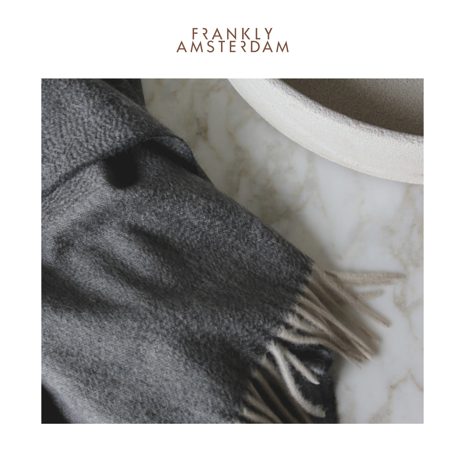## **FRANKLY**<br>AMSTERDAM

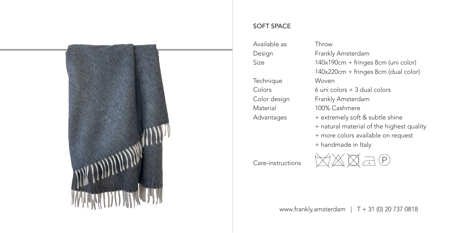

## SOFT SPACE

Available as Design Size **Technique** Colors Color design Material Advantages

## Throw

Frankly Amsterdam 140x190cm + fringes 8cm (uni color) 140x220cm + fringes 8cm (dual color) Woven 6 uni colors + 3 dual colors Frankly Amsterdam 100% Cashmere

- + extremely soft & subtle shine
- + natural material of the highest quality
- + more colors available on request
- + handmade in Italy

Care-instructions



www.frankly.amsterdam | T + 31 (0) 20 737 0818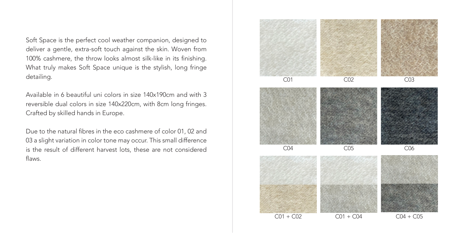Soft Space is the perfect cool weather companion, designed to deliver a gentle, extra-soft touch against the skin. Woven from 100% cashmere, the throw looks almost silk-like in its finishing. What truly makes Soft Space unique is the stylish, long fringe detailing.

Available in 6 beautiful uni colors in size 140x190cm and with 3 reversible dual colors in size 140x220cm, with 8cm long fringes. Crafted by skilled hands in Europe.

Due to the natural fibres in the eco cashmere of color 01, 02 and 03 a slight variation in color tone may occur. This small difference is the result of different harvest lots, these are not considered flaws.